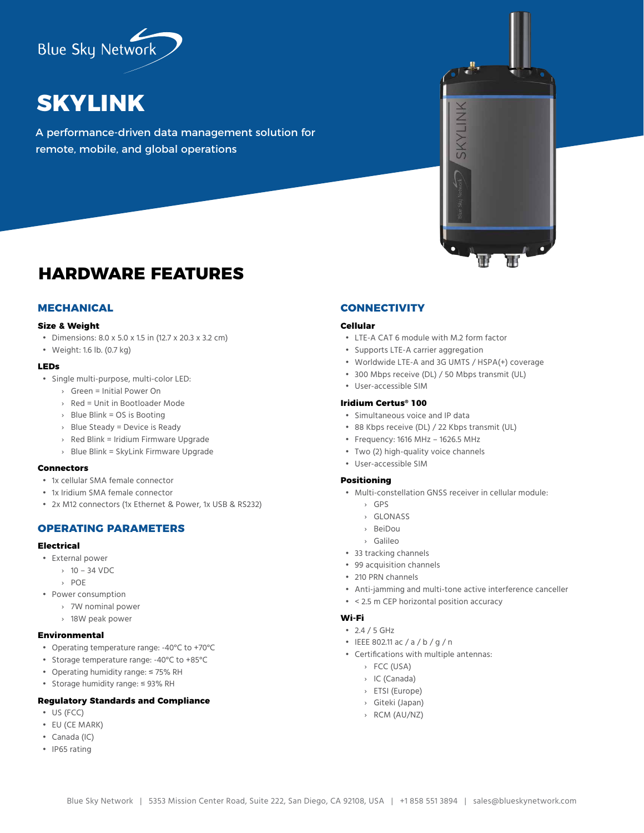

# **SKYLINK**

A performance-driven data management solution for remote, mobile, and global operations

# **HARDWARE FEATURES**

#### **MECHANICAL**

#### **Size & Weight**

- Dimensions: 8.0 x 5.0 x 1.5 in (12.7 x 20.3 x 3.2 cm)
- Weight: 1.6 lb. (0.7 kg)

#### **LEDs**

- Single multi-purpose, multi-color LED:
	- › Green = Initial Power On
	- › Red = Unit in Bootloader Mode
	- › Blue Blink = OS is Booting
	- $\rightarrow$  Blue Steady = Device is Ready
	- › Red Blink = Iridium Firmware Upgrade
	- › Blue Blink = SkyLink Firmware Upgrade

#### **Connectors**

- 1x cellular SMA female connector
- 1x Iridium SMA female connector
- 2x M12 connectors (1x Ethernet & Power, 1x USB & RS232)

# **OPERATING PARAMETERS**

#### **Electrical**

- External power
	- $\rightarrow$  10 34 VDC
	- › POE
- Power consumption
	- › 7W nominal power
	- › 18W peak power

#### **Environmental**

- Operating temperature range: -40°C to +70°C
- Storage temperature range: -40°C to +85°C
- Operating humidity range: ≤ 75% RH
- Storage humidity range: ≤ 93% RH

#### **Regulatory Standards and Compliance**

- US (FCC)
- EU (CE MARK)
- Canada (IC)
- IP65 rating

# **CONNECTIVITY**

#### **Cellular**

- LTE-A CAT 6 module with M.2 form factor
- Supports LTE-A carrier aggregation
- Worldwide LTE-A and 3G UMTS / HSPA(+) coverage
- 300 Mbps receive (DL) / 50 Mbps transmit (UL)
- User-accessible SIM

#### **Iridium Certus® 100**

- Simultaneous voice and IP data
- 88 Kbps receive (DL) / 22 Kbps transmit (UL)
- Frequency: 1616 MHz 1626.5 MHz
- Two (2) high-quality voice channels
- User-accessible SIM

# **Positioning**

- Multi-constellation GNSS receiver in cellular module:
	- › GPS
	- › GLONASS
	- › BeiDou
	- › Galileo
- 33 tracking channels
- 99 acquisition channels
- 210 PRN channels
- Anti-jamming and multi-tone active interference canceller
- < 2.5 m CEP horizontal position accuracy

#### **Wi-Fi**

- 2.4 / 5 GHz
- IEEE 802.11 ac / a / b / g / n
- Certifications with multiple antennas:
	- › FCC (USA)
	- › IC (Canada)
	- › ETSI (Europe)
	- › Giteki (Japan)
	- › RCM (AU/NZ)